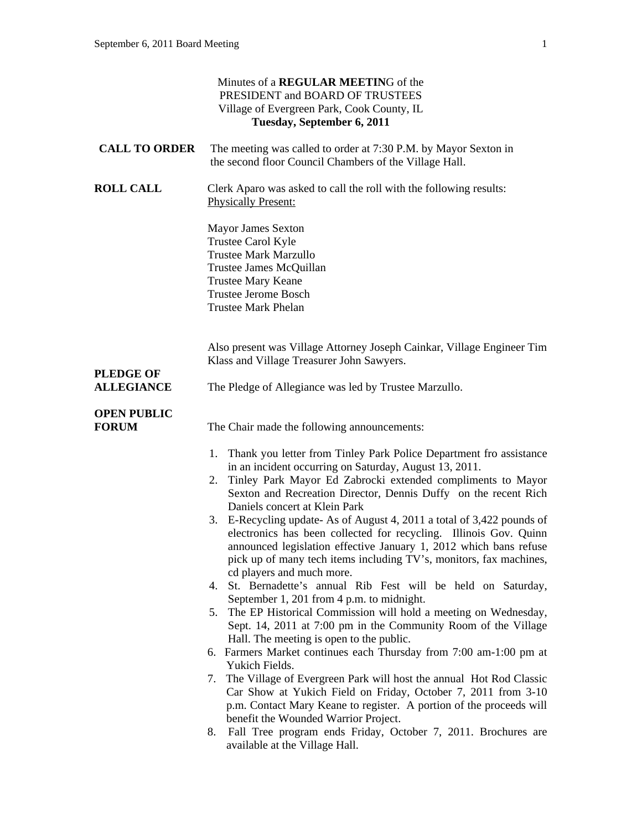|                                    | Minutes of a REGULAR MEETING of the<br>PRESIDENT and BOARD OF TRUSTEES<br>Village of Evergreen Park, Cook County, IL<br>Tuesday, September 6, 2011                                                                                                                                                                                                                                                                                                                                                                                                                                                                                                                                                                                                                                                                                                                                                                                                                                                                                                                                                                                                                                                                                                                                                                                                                                              |
|------------------------------------|-------------------------------------------------------------------------------------------------------------------------------------------------------------------------------------------------------------------------------------------------------------------------------------------------------------------------------------------------------------------------------------------------------------------------------------------------------------------------------------------------------------------------------------------------------------------------------------------------------------------------------------------------------------------------------------------------------------------------------------------------------------------------------------------------------------------------------------------------------------------------------------------------------------------------------------------------------------------------------------------------------------------------------------------------------------------------------------------------------------------------------------------------------------------------------------------------------------------------------------------------------------------------------------------------------------------------------------------------------------------------------------------------|
| <b>CALL TO ORDER</b>               | The meeting was called to order at 7:30 P.M. by Mayor Sexton in<br>the second floor Council Chambers of the Village Hall.                                                                                                                                                                                                                                                                                                                                                                                                                                                                                                                                                                                                                                                                                                                                                                                                                                                                                                                                                                                                                                                                                                                                                                                                                                                                       |
| <b>ROLL CALL</b>                   | Clerk Aparo was asked to call the roll with the following results:<br><b>Physically Present:</b>                                                                                                                                                                                                                                                                                                                                                                                                                                                                                                                                                                                                                                                                                                                                                                                                                                                                                                                                                                                                                                                                                                                                                                                                                                                                                                |
|                                    | <b>Mayor James Sexton</b><br>Trustee Carol Kyle<br><b>Trustee Mark Marzullo</b><br>Trustee James McQuillan<br>Trustee Mary Keane<br><b>Trustee Jerome Bosch</b><br><b>Trustee Mark Phelan</b>                                                                                                                                                                                                                                                                                                                                                                                                                                                                                                                                                                                                                                                                                                                                                                                                                                                                                                                                                                                                                                                                                                                                                                                                   |
| <b>PLEDGE OF</b>                   | Also present was Village Attorney Joseph Cainkar, Village Engineer Tim<br>Klass and Village Treasurer John Sawyers.                                                                                                                                                                                                                                                                                                                                                                                                                                                                                                                                                                                                                                                                                                                                                                                                                                                                                                                                                                                                                                                                                                                                                                                                                                                                             |
| <b>ALLEGIANCE</b>                  | The Pledge of Allegiance was led by Trustee Marzullo.                                                                                                                                                                                                                                                                                                                                                                                                                                                                                                                                                                                                                                                                                                                                                                                                                                                                                                                                                                                                                                                                                                                                                                                                                                                                                                                                           |
| <b>OPEN PUBLIC</b><br><b>FORUM</b> | The Chair made the following announcements:                                                                                                                                                                                                                                                                                                                                                                                                                                                                                                                                                                                                                                                                                                                                                                                                                                                                                                                                                                                                                                                                                                                                                                                                                                                                                                                                                     |
|                                    | 1. Thank you letter from Tinley Park Police Department fro assistance<br>in an incident occurring on Saturday, August 13, 2011.<br>Tinley Park Mayor Ed Zabrocki extended compliments to Mayor<br>2.<br>Sexton and Recreation Director, Dennis Duffy on the recent Rich<br>Daniels concert at Klein Park<br>E-Recycling update- As of August 4, 2011 a total of 3,422 pounds of<br>3.<br>electronics has been collected for recycling. Illinois Gov. Quinn<br>announced legislation effective January 1, 2012 which bans refuse<br>pick up of many tech items including TV's, monitors, fax machines,<br>cd players and much more.<br>4. St. Bernadette's annual Rib Fest will be held on Saturday,<br>September 1, 201 from 4 p.m. to midnight.<br>5. The EP Historical Commission will hold a meeting on Wednesday,<br>Sept. 14, 2011 at 7:00 pm in the Community Room of the Village<br>Hall. The meeting is open to the public.<br>6. Farmers Market continues each Thursday from 7:00 am-1:00 pm at<br>Yukich Fields.<br>The Village of Evergreen Park will host the annual Hot Rod Classic<br>7.<br>Car Show at Yukich Field on Friday, October 7, 2011 from 3-10<br>p.m. Contact Mary Keane to register. A portion of the proceeds will<br>benefit the Wounded Warrior Project.<br>Fall Tree program ends Friday, October 7, 2011. Brochures are<br>8.<br>available at the Village Hall. |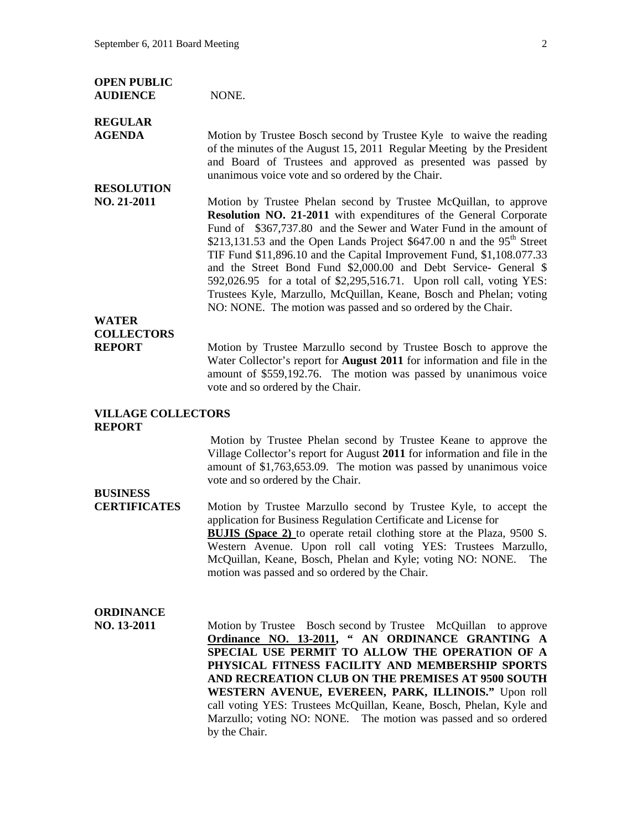| <b>OPEN PUBLIC</b><br><b>AUDIENCE</b>              | NONE.                                                                                                                                                                                                                                                                                                                                                                                                                                                                                                                                                                                                                                                |
|----------------------------------------------------|------------------------------------------------------------------------------------------------------------------------------------------------------------------------------------------------------------------------------------------------------------------------------------------------------------------------------------------------------------------------------------------------------------------------------------------------------------------------------------------------------------------------------------------------------------------------------------------------------------------------------------------------------|
| <b>REGULAR</b><br><b>AGENDA</b>                    | Motion by Trustee Bosch second by Trustee Kyle to waive the reading<br>of the minutes of the August 15, 2011 Regular Meeting by the President<br>and Board of Trustees and approved as presented was passed by<br>unanimous voice vote and so ordered by the Chair.                                                                                                                                                                                                                                                                                                                                                                                  |
| <b>RESOLUTION</b><br>NO. 21-2011                   | Motion by Trustee Phelan second by Trustee McQuillan, to approve<br>Resolution NO. 21-2011 with expenditures of the General Corporate<br>Fund of \$367,737.80 and the Sewer and Water Fund in the amount of<br>\$213,131.53 and the Open Lands Project \$647.00 n and the $95th$ Street<br>TIF Fund \$11,896.10 and the Capital Improvement Fund, \$1,108.077.33<br>and the Street Bond Fund \$2,000.00 and Debt Service- General \$<br>592,026.95 for a total of \$2,295,516.71. Upon roll call, voting YES:<br>Trustees Kyle, Marzullo, McQuillan, Keane, Bosch and Phelan; voting<br>NO: NONE. The motion was passed and so ordered by the Chair. |
| <b>WATER</b><br><b>COLLECTORS</b><br><b>REPORT</b> | Motion by Trustee Marzullo second by Trustee Bosch to approve the<br>Water Collector's report for <b>August 2011</b> for information and file in the<br>amount of \$559,192.76. The motion was passed by unanimous voice<br>vote and so ordered by the Chair.                                                                                                                                                                                                                                                                                                                                                                                        |
| <b>VILLAGE COLLECTORS</b><br><b>REPORT</b>         |                                                                                                                                                                                                                                                                                                                                                                                                                                                                                                                                                                                                                                                      |
| <b>BUSINESS</b>                                    | Motion by Trustee Phelan second by Trustee Keane to approve the<br>Village Collector's report for August 2011 for information and file in the<br>amount of \$1,763,653.09. The motion was passed by unanimous voice<br>vote and so ordered by the Chair.                                                                                                                                                                                                                                                                                                                                                                                             |
| <b>CERTIFICATES</b>                                | Motion by Trustee Marzullo second by Trustee Kyle, to accept the<br>application for Business Regulation Certificate and License for<br><b>BUJIS</b> (Space 2) to operate retail clothing store at the Plaza, 9500 S.<br>Western Avenue. Upon roll call voting YES: Trustees Marzullo,<br>McQuillan, Keane, Bosch, Phelan and Kyle; voting NO: NONE.<br>The<br>motion was passed and so ordered by the Chair.                                                                                                                                                                                                                                         |
| <b>ORDINANCE</b><br>NO. 13-2011                    | Motion by Trustee Bosch second by Trustee McQuillan to approve<br>Ordinance NO. 13-2011, " AN ORDINANCE GRANTING A<br>SPECIAL USE PERMIT TO ALLOW THE OPERATION OF A<br>PHYSICAL FITNESS FACILITY AND MEMBERSHIP SPORTS<br>AND RECREATION CLUB ON THE PREMISES AT 9500 SOUTH<br>WESTERN AVENUE, EVEREEN, PARK, ILLINOIS." Upon roll<br>call voting YES: Trustees McQuillan, Keane, Bosch, Phelan, Kyle and<br>Marzullo; voting NO: NONE. The motion was passed and so ordered<br>by the Chair.                                                                                                                                                       |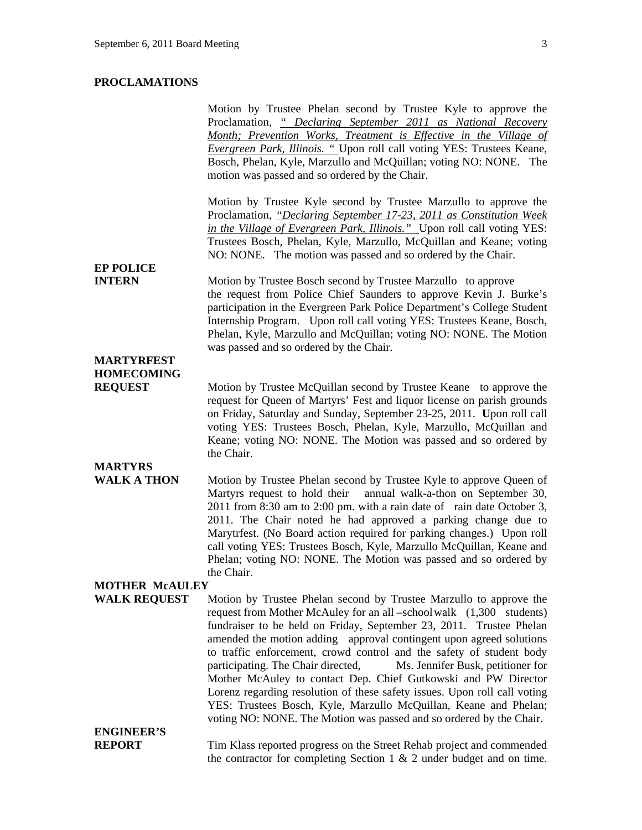## **PROCLAMATIONS**

|                                      | Motion by Trustee Phelan second by Trustee Kyle to approve the                                                                              |  |
|--------------------------------------|---------------------------------------------------------------------------------------------------------------------------------------------|--|
|                                      | Proclamation, "Declaring September 2011 as National Recovery                                                                                |  |
|                                      | Month; Prevention Works, Treatment is Effective in the Village of                                                                           |  |
|                                      | Evergreen Park, Illinois. " Upon roll call voting YES: Trustees Keane,                                                                      |  |
|                                      | Bosch, Phelan, Kyle, Marzullo and McQuillan; voting NO: NONE. The                                                                           |  |
|                                      | motion was passed and so ordered by the Chair.                                                                                              |  |
|                                      | Motion by Trustee Kyle second by Trustee Marzullo to approve the                                                                            |  |
|                                      | Proclamation, "Declaring September 17-23, 2011 as Constitution Week                                                                         |  |
|                                      | in the Village of Evergreen Park, Illinois." Upon roll call voting YES:                                                                     |  |
|                                      | Trustees Bosch, Phelan, Kyle, Marzullo, McQuillan and Keane; voting                                                                         |  |
|                                      | NO: NONE. The motion was passed and so ordered by the Chair.                                                                                |  |
| <b>EP POLICE</b>                     |                                                                                                                                             |  |
| <b>INTERN</b>                        | Motion by Trustee Bosch second by Trustee Marzullo to approve                                                                               |  |
|                                      | the request from Police Chief Saunders to approve Kevin J. Burke's                                                                          |  |
|                                      | participation in the Evergreen Park Police Department's College Student                                                                     |  |
|                                      | Internship Program. Upon roll call voting YES: Trustees Keane, Bosch,                                                                       |  |
|                                      | Phelan, Kyle, Marzullo and McQuillan; voting NO: NONE. The Motion                                                                           |  |
| <b>MARTYRFEST</b>                    | was passed and so ordered by the Chair.                                                                                                     |  |
| <b>HOMECOMING</b>                    |                                                                                                                                             |  |
| <b>REQUEST</b>                       | Motion by Trustee McQuillan second by Trustee Keane to approve the                                                                          |  |
|                                      | request for Queen of Martyrs' Fest and liquor license on parish grounds                                                                     |  |
|                                      | on Friday, Saturday and Sunday, September 23-25, 2011. Upon roll call                                                                       |  |
|                                      | voting YES: Trustees Bosch, Phelan, Kyle, Marzullo, McQuillan and                                                                           |  |
|                                      | Keane; voting NO: NONE. The Motion was passed and so ordered by                                                                             |  |
|                                      | the Chair.                                                                                                                                  |  |
| <b>MARTYRS</b><br><b>WALK A THON</b> |                                                                                                                                             |  |
|                                      | Motion by Trustee Phelan second by Trustee Kyle to approve Queen of<br>Martyrs request to hold their<br>annual walk-a-thon on September 30, |  |
|                                      | 2011 from 8:30 am to 2:00 pm. with a rain date of rain date October 3,                                                                      |  |
|                                      | 2011. The Chair noted he had approved a parking change due to                                                                               |  |
|                                      | Marytrfest. (No Board action required for parking changes.) Upon roll                                                                       |  |
|                                      | call voting YES: Trustees Bosch, Kyle, Marzullo McQuillan, Keane and                                                                        |  |
|                                      | Phelan; voting NO: NONE. The Motion was passed and so ordered by                                                                            |  |
|                                      | the Chair.                                                                                                                                  |  |
| <b>MOTHER MCAULEY</b>                |                                                                                                                                             |  |
| <b>WALK REQUEST</b>                  | Motion by Trustee Phelan second by Trustee Marzullo to approve the                                                                          |  |
|                                      | request from Mother McAuley for an all –school walk (1,300 students)                                                                        |  |
|                                      | fundraiser to be held on Friday, September 23, 2011. Trustee Phelan                                                                         |  |
|                                      | amended the motion adding approval contingent upon agreed solutions                                                                         |  |
|                                      | to traffic enforcement, crowd control and the safety of student body                                                                        |  |
|                                      | participating. The Chair directed,<br>Ms. Jennifer Busk, petitioner for                                                                     |  |
|                                      | Mother McAuley to contact Dep. Chief Gutkowski and PW Director                                                                              |  |
|                                      | Lorenz regarding resolution of these safety issues. Upon roll call voting                                                                   |  |
|                                      | YES: Trustees Bosch, Kyle, Marzullo McQuillan, Keane and Phelan;                                                                            |  |
|                                      | voting NO: NONE. The Motion was passed and so ordered by the Chair.                                                                         |  |
| <b>ENGINEER'S</b>                    |                                                                                                                                             |  |
| <b>REPORT</b>                        | Tim Klass reported progress on the Street Rehab project and commended                                                                       |  |
|                                      | the contractor for completing Section 1 $\&$ 2 under budget and on time.                                                                    |  |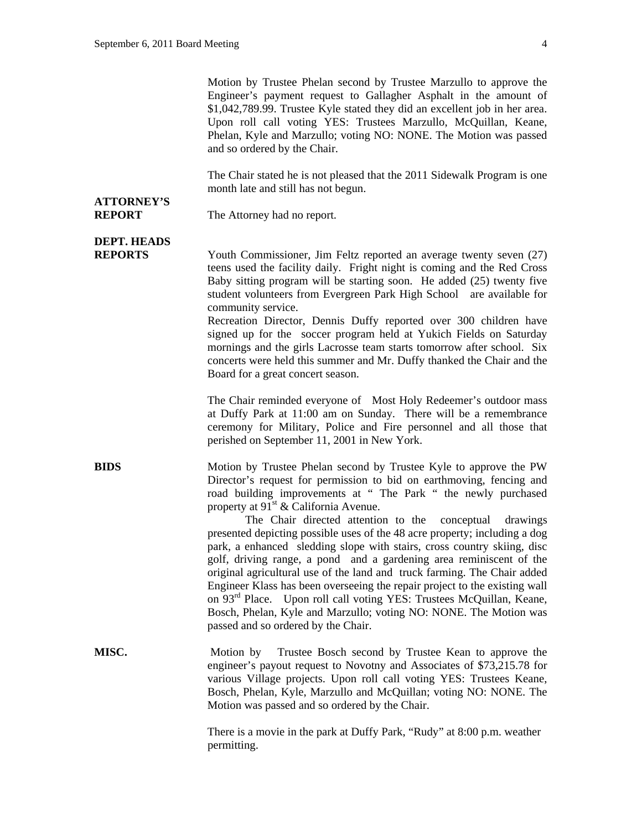Motion by Trustee Phelan second by Trustee Marzullo to approve the Engineer's payment request to Gallagher Asphalt in the amount of \$1,042,789.99. Trustee Kyle stated they did an excellent job in her area. Upon roll call voting YES: Trustees Marzullo, McQuillan, Keane, Phelan, Kyle and Marzullo; voting NO: NONE. The Motion was passed and so ordered by the Chair.

The Chair stated he is not pleased that the 2011 Sidewalk Program is one month late and still has not begun.

## **ATTORNEY'S**

**REPORT** The Attorney had no report.

## **DEPT. HEADS**

**REPORTS** Youth Commissioner, Jim Feltz reported an average twenty seven (27) teens used the facility daily. Fright night is coming and the Red Cross Baby sitting program will be starting soon. He added (25) twenty five student volunteers from Evergreen Park High School are available for community service.

 Recreation Director, Dennis Duffy reported over 300 children have signed up for the soccer program held at Yukich Fields on Saturday mornings and the girls Lacrosse team starts tomorrow after school. Six concerts were held this summer and Mr. Duffy thanked the Chair and the Board for a great concert season.

 The Chair reminded everyone of Most Holy Redeemer's outdoor mass at Duffy Park at 11:00 am on Sunday. There will be a remembrance ceremony for Military, Police and Fire personnel and all those that perished on September 11, 2001 in New York.

**BIDS** Motion by Trustee Phelan second by Trustee Kyle to approve the PW Director's request for permission to bid on earthmoving, fencing and road building improvements at " The Park " the newly purchased property at  $91<sup>st</sup>$  & California Avenue.

> The Chair directed attention to the conceptual drawings presented depicting possible uses of the 48 acre property; including a dog park, a enhanced sledding slope with stairs, cross country skiing, disc golf, driving range, a pond and a gardening area reminiscent of the original agricultural use of the land and truck farming. The Chair added Engineer Klass has been overseeing the repair project to the existing wall on  $93<sup>rd</sup>$  Place. Upon roll call voting YES: Trustees McQuillan, Keane, Bosch, Phelan, Kyle and Marzullo; voting NO: NONE. The Motion was passed and so ordered by the Chair.

**MISC.** Motion by Trustee Bosch second by Trustee Kean to approve the engineer's payout request to Novotny and Associates of \$73,215.78 for various Village projects. Upon roll call voting YES: Trustees Keane, Bosch, Phelan, Kyle, Marzullo and McQuillan; voting NO: NONE. The Motion was passed and so ordered by the Chair.

> There is a movie in the park at Duffy Park, "Rudy" at 8:00 p.m. weather permitting.